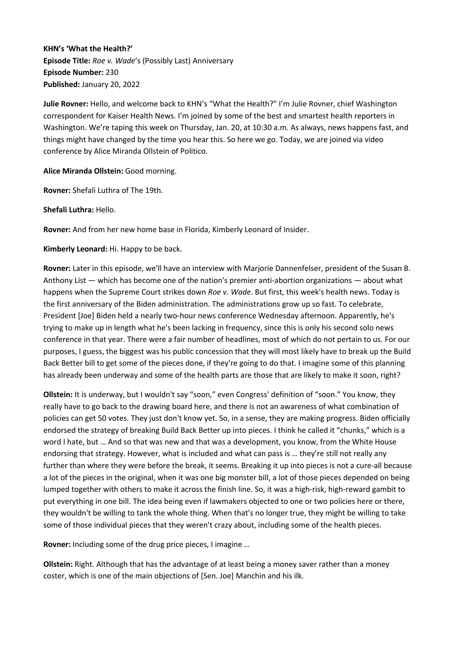**KHN's 'What the Health?' Episode Title:** *Roe v. Wade*'s (Possibly Last) Anniversary **Episode Number:** 230 **Published:** January 20, 2022

**Julie Rovner:** Hello, and welcome back to KHN's "What the Health?" I'm Julie Rovner, chief Washington correspondent for Kaiser Health News. I'm joined by some of the best and smartest health reporters in Washington. We're taping this week on Thursday, Jan. 20, at 10:30 a.m. As always, news happens fast, and things might have changed by the time you hear this. So here we go. Today, we are joined via video conference by Alice Miranda Ollstein of Politico.

**Alice Miranda Ollstein:** Good morning.

**Rovner:** Shefali Luthra of The 19th.

**Shefali Luthra:** Hello.

**Rovner:** And from her new home base in Florida, Kimberly Leonard of Insider.

**Kimberly Leonard:** Hi. Happy to be back.

**Rovner:** Later in this episode, we'll have an interview with Marjorie Dannenfelser, president of the Susan B. Anthony List — which has become one of the nation's premier anti-abortion organizations — about what happens when the Supreme Court strikes down *Roe v. Wade*. But first, this week's health news. Today is the first anniversary of the Biden administration. The administrations grow up so fast. To celebrate, President [Joe] Biden held a nearly two-hour news conference Wednesday afternoon. Apparently, he's trying to make up in length what he's been lacking in frequency, since this is only his second solo news conference in that year. There were a fair number of headlines, most of which do not pertain to us. For our purposes, I guess, the biggest was his public concession that they will most likely have to break up the Build Back Better bill to get some of the pieces done, if they're going to do that. I imagine some of this planning has already been underway and some of the health parts are those that are likely to make it soon, right?

**Ollstein:** It is underway, but I wouldn't say "soon," even Congress' definition of "soon." You know, they really have to go back to the drawing board here, and there is not an awareness of what combination of policies can get 50 votes. They just don't know yet. So, in a sense, they are making progress. Biden officially endorsed the strategy of breaking Build Back Better up into pieces. I think he called it "chunks," which is a word I hate, but … And so that was new and that was a development, you know, from the White House endorsing that strategy. However, what is included and what can pass is … they're still not really any further than where they were before the break, it seems. Breaking it up into pieces is not a cure-all because a lot of the pieces in the original, when it was one big monster bill, a lot of those pieces depended on being lumped together with others to make it across the finish line. So, it was a high-risk, high-reward gambit to put everything in one bill. The idea being even if lawmakers objected to one or two policies here or there, they wouldn't be willing to tank the whole thing. When that's no longer true, they might be willing to take some of those individual pieces that they weren't crazy about, including some of the health pieces.

**Rovner:** Including some of the drug price pieces, I imagine …

**Ollstein:** Right. Although that has the advantage of at least being a money saver rather than a money coster, which is one of the main objections of [Sen. Joe] Manchin and his ilk.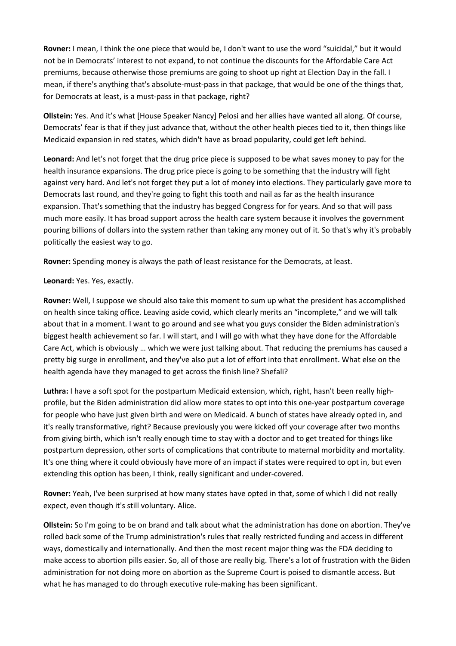**Rovner:** I mean, I think the one piece that would be, I don't want to use the word "suicidal," but it would not be in Democrats' interest to not expand, to not continue the discounts for the Affordable Care Act premiums, because otherwise those premiums are going to shoot up right at Election Day in the fall. I mean, if there's anything that's absolute-must-pass in that package, that would be one of the things that, for Democrats at least, is a must-pass in that package, right?

**Ollstein:** Yes. And it's what [House Speaker Nancy] Pelosi and her allies have wanted all along. Of course, Democrats' fear is that if they just advance that, without the other health pieces tied to it, then things like Medicaid expansion in red states, which didn't have as broad popularity, could get left behind.

**Leonard:** And let's not forget that the drug price piece is supposed to be what saves money to pay for the health insurance expansions. The drug price piece is going to be something that the industry will fight against very hard. And let's not forget they put a lot of money into elections. They particularly gave more to Democrats last round, and they're going to fight this tooth and nail as far as the health insurance expansion. That's something that the industry has begged Congress for for years. And so that will pass much more easily. It has broad support across the health care system because it involves the government pouring billions of dollars into the system rather than taking any money out of it. So that's why it's probably politically the easiest way to go.

**Rovner:** Spending money is always the path of least resistance for the Democrats, at least.

# **Leonard:** Yes. Yes, exactly.

**Rovner:** Well, I suppose we should also take this moment to sum up what the president has accomplished on health since taking office. Leaving aside covid, which clearly merits an "incomplete," and we will talk about that in a moment. I want to go around and see what you guys consider the Biden administration's biggest health achievement so far. I will start, and I will go with what they have done for the Affordable Care Act, which is obviously … which we were just talking about. That reducing the premiums has caused a pretty big surge in enrollment, and they've also put a lot of effort into that enrollment. What else on the health agenda have they managed to get across the finish line? Shefali?

**Luthra:** I have a soft spot for the postpartum Medicaid extension, which, right, hasn't been really highprofile, but the Biden administration did allow more states to opt into this one-year postpartum coverage for people who have just given birth and were on Medicaid. A bunch of states have already opted in, and it's really transformative, right? Because previously you were kicked off your coverage after two months from giving birth, which isn't really enough time to stay with a doctor and to get treated for things like postpartum depression, other sorts of complications that contribute to maternal morbidity and mortality. It's one thing where it could obviously have more of an impact if states were required to opt in, but even extending this option has been, I think, really significant and under-covered.

**Rovner:** Yeah, I've been surprised at how many states have opted in that, some of which I did not really expect, even though it's still voluntary. Alice.

**Ollstein:** So I'm going to be on brand and talk about what the administration has done on abortion. They've rolled back some of the Trump administration's rules that really restricted funding and access in different ways, domestically and internationally. And then the most recent major thing was the FDA deciding to make access to abortion pills easier. So, all of those are really big. There's a lot of frustration with the Biden administration for not doing more on abortion as the Supreme Court is poised to dismantle access. But what he has managed to do through executive rule-making has been significant.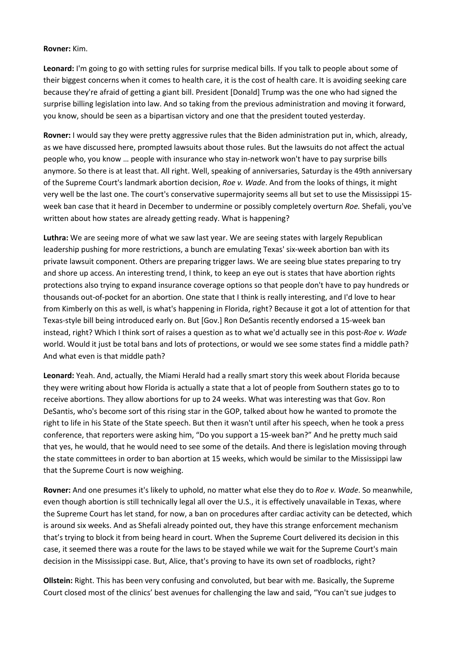## **Rovner:** Kim.

**Leonard:** I'm going to go with setting rules for surprise medical bills. If you talk to people about some of their biggest concerns when it comes to health care, it is the cost of health care. It is avoiding seeking care because they're afraid of getting a giant bill. President [Donald] Trump was the one who had signed the surprise billing legislation into law. And so taking from the previous administration and moving it forward, you know, should be seen as a bipartisan victory and one that the president touted yesterday.

**Rovner:** I would say they were pretty aggressive rules that the Biden administration put in, which, already, as we have discussed here, prompted lawsuits about those rules. But the lawsuits do not affect the actual people who, you know … people with insurance who stay in-network won't have to pay surprise bills anymore. So there is at least that. All right. Well, speaking of anniversaries, Saturday is the 49th anniversary of the Supreme Court's landmark abortion decision, *Roe v. Wade*. And from the looks of things, it might very well be the last one. The court's conservative supermajority seems all but set to use the Mississippi 15 week ban case that it heard in December to undermine or possibly completely overturn *Roe.* Shefali, you've written about how states are already getting ready. What is happening?

**Luthra:** We are seeing more of what we saw last year. We are seeing states with largely Republican leadership pushing for more restrictions, a bunch are emulating Texas' six-week abortion ban with its private lawsuit component. Others are preparing trigger laws. We are seeing blue states preparing to try and shore up access. An interesting trend, I think, to keep an eye out is states that have abortion rights protections also trying to expand insurance coverage options so that people don't have to pay hundreds or thousands out-of-pocket for an abortion. One state that I think is really interesting, and I'd love to hear from Kimberly on this as well, is what's happening in Florida, right? Because it got a lot of attention for that Texas-style bill being introduced early on. But [Gov.] Ron DeSantis recently endorsed a 15-week ban instead, right? Which I think sort of raises a question as to what we'd actually see in this post-*Roe v. Wade* world. Would it just be total bans and lots of protections, or would we see some states find a middle path? And what even is that middle path?

**Leonard:** Yeah. And, actually, the Miami Herald had a really smart story this week about Florida because they were writing about how Florida is actually a state that a lot of people from Southern states go to to receive abortions. They allow abortions for up to 24 weeks. What was interesting was that Gov. Ron DeSantis, who's become sort of this rising star in the GOP, talked about how he wanted to promote the right to life in his State of the State speech. But then it wasn't until after his speech, when he took a press conference, that reporters were asking him, "Do you support a 15-week ban?" And he pretty much said that yes, he would, that he would need to see some of the details. And there is legislation moving through the state committees in order to ban abortion at 15 weeks, which would be similar to the Mississippi law that the Supreme Court is now weighing.

**Rovner:** And one presumes it's likely to uphold, no matter what else they do to *Roe v. Wade*. So meanwhile, even though abortion is still technically legal all over the U.S., it is effectively unavailable in Texas, where the Supreme Court has let stand, for now, a ban on procedures after cardiac activity can be detected, which is around six weeks. And as Shefali already pointed out, they have this strange enforcement mechanism that's trying to block it from being heard in court. When the Supreme Court delivered its decision in this case, it seemed there was a route for the laws to be stayed while we wait for the Supreme Court's main decision in the Mississippi case. But, Alice, that's proving to have its own set of roadblocks, right?

**Ollstein:** Right. This has been very confusing and convoluted, but bear with me. Basically, the Supreme Court closed most of the clinics' best avenues for challenging the law and said, "You can't sue judges to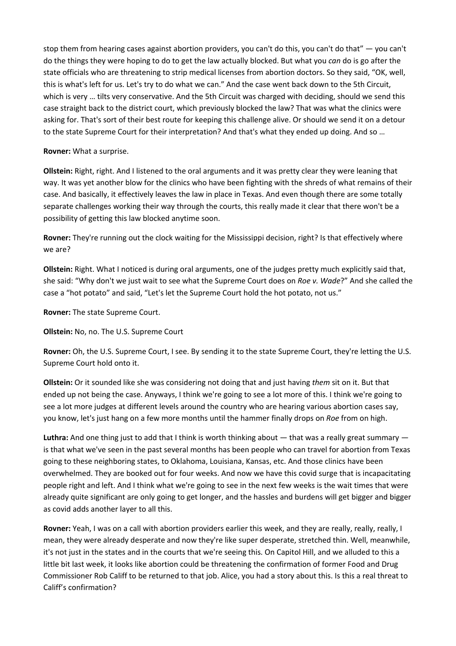stop them from hearing cases against abortion providers, you can't do this, you can't do that" — you can't do the things they were hoping to do to get the law actually blocked. But what you *can* do is go after the state officials who are threatening to strip medical licenses from abortion doctors. So they said, "OK, well, this is what's left for us. Let's try to do what we can." And the case went back down to the 5th Circuit, which is very … tilts very conservative. And the 5th Circuit was charged with deciding, should we send this case straight back to the district court, which previously blocked the law? That was what the clinics were asking for. That's sort of their best route for keeping this challenge alive. Or should we send it on a detour to the state Supreme Court for their interpretation? And that's what they ended up doing. And so …

# **Rovner:** What a surprise.

**Ollstein:** Right, right. And I listened to the oral arguments and it was pretty clear they were leaning that way. It was yet another blow for the clinics who have been fighting with the shreds of what remains of their case. And basically, it effectively leaves the law in place in Texas. And even though there are some totally separate challenges working their way through the courts, this really made it clear that there won't be a possibility of getting this law blocked anytime soon.

**Rovner:** They're running out the clock waiting for the Mississippi decision, right? Is that effectively where we are?

**Ollstein:** Right. What I noticed is during oral arguments, one of the judges pretty much explicitly said that, she said: "Why don't we just wait to see what the Supreme Court does on *Roe v. Wade*?" And she called the case a "hot potato" and said, "Let's let the Supreme Court hold the hot potato, not us."

**Rovner:** The state Supreme Court.

**Ollstein:** No, no. The U.S. Supreme Court

**Rovner:** Oh, the U.S. Supreme Court, I see. By sending it to the state Supreme Court, they're letting the U.S. Supreme Court hold onto it.

**Ollstein:** Or it sounded like she was considering not doing that and just having *them* sit on it. But that ended up not being the case. Anyways, I think we're going to see a lot more of this. I think we're going to see a lot more judges at different levels around the country who are hearing various abortion cases say, you know, let's just hang on a few more months until the hammer finally drops on *Roe* from on high.

Luthra: And one thing just to add that I think is worth thinking about — that was a really great summary is that what we've seen in the past several months has been people who can travel for abortion from Texas going to these neighboring states, to Oklahoma, Louisiana, Kansas, etc. And those clinics have been overwhelmed. They are booked out for four weeks. And now we have this covid surge that is incapacitating people right and left. And I think what we're going to see in the next few weeks is the wait times that were already quite significant are only going to get longer, and the hassles and burdens will get bigger and bigger as covid adds another layer to all this.

**Rovner:** Yeah, I was on a call with abortion providers earlier this week, and they are really, really, really, I mean, they were already desperate and now they're like super desperate, stretched thin. Well, meanwhile, it's not just in the states and in the courts that we're seeing this. On Capitol Hill, and we alluded to this a little bit last week, it looks like abortion could be threatening the confirmation of former Food and Drug Commissioner Rob Califf to be returned to that job. Alice, you had a story about this. Is this a real threat to Califf's confirmation?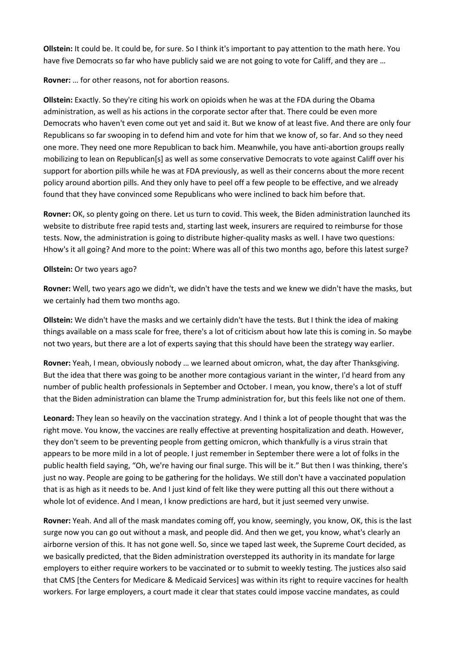**Ollstein:** It could be. It could be, for sure. So I think it's important to pay attention to the math here. You have five Democrats so far who have publicly said we are not going to vote for Califf, and they are …

## **Rovner:** … for other reasons, not for abortion reasons.

**Ollstein:** Exactly. So they're citing his work on opioids when he was at the FDA during the Obama administration, as well as his actions in the corporate sector after that. There could be even more Democrats who haven't even come out yet and said it. But we know of at least five. And there are only four Republicans so far swooping in to defend him and vote for him that we know of, so far. And so they need one more. They need one more Republican to back him. Meanwhile, you have anti-abortion groups really mobilizing to lean on Republican[s] as well as some conservative Democrats to vote against Califf over his support for abortion pills while he was at FDA previously, as well as their concerns about the more recent policy around abortion pills. And they only have to peel off a few people to be effective, and we already found that they have convinced some Republicans who were inclined to back him before that.

**Rovner:** OK, so plenty going on there. Let us turn to covid. This week, the Biden administration launched its website to distribute free rapid tests and, starting last week, insurers are required to reimburse for those tests. Now, the administration is going to distribute higher-quality masks as well. I have two questions: Hhow's it all going? And more to the point: Where was all of this two months ago, before this latest surge?

## **Ollstein:** Or two years ago?

**Rovner:** Well, two years ago we didn't, we didn't have the tests and we knew we didn't have the masks, but we certainly had them two months ago.

**Ollstein:** We didn't have the masks and we certainly didn't have the tests. But I think the idea of making things available on a mass scale for free, there's a lot of criticism about how late this is coming in. So maybe not two years, but there are a lot of experts saying that this should have been the strategy way earlier.

**Rovner:** Yeah, I mean, obviously nobody … we learned about omicron, what, the day after Thanksgiving. But the idea that there was going to be another more contagious variant in the winter, I'd heard from any number of public health professionals in September and October. I mean, you know, there's a lot of stuff that the Biden administration can blame the Trump administration for, but this feels like not one of them.

**Leonard:** They lean so heavily on the vaccination strategy. And I think a lot of people thought that was the right move. You know, the vaccines are really effective at preventing hospitalization and death. However, they don't seem to be preventing people from getting omicron, which thankfully is a virus strain that appears to be more mild in a lot of people. I just remember in September there were a lot of folks in the public health field saying, "Oh, we're having our final surge. This will be it." But then I was thinking, there's just no way. People are going to be gathering for the holidays. We still don't have a vaccinated population that is as high as it needs to be. And I just kind of felt like they were putting all this out there without a whole lot of evidence. And I mean, I know predictions are hard, but it just seemed very unwise.

**Rovner:** Yeah. And all of the mask mandates coming off, you know, seemingly, you know, OK, this is the last surge now you can go out without a mask, and people did. And then we get, you know, what's clearly an airborne version of this. It has not gone well. So, since we taped last week, the Supreme Court decided, as we basically predicted, that the Biden administration overstepped its authority in its mandate for large employers to either require workers to be vaccinated or to submit to weekly testing. The justices also said that CMS [the Centers for Medicare & Medicaid Services] was within its right to require vaccines for health workers. For large employers, a court made it clear that states could impose vaccine mandates, as could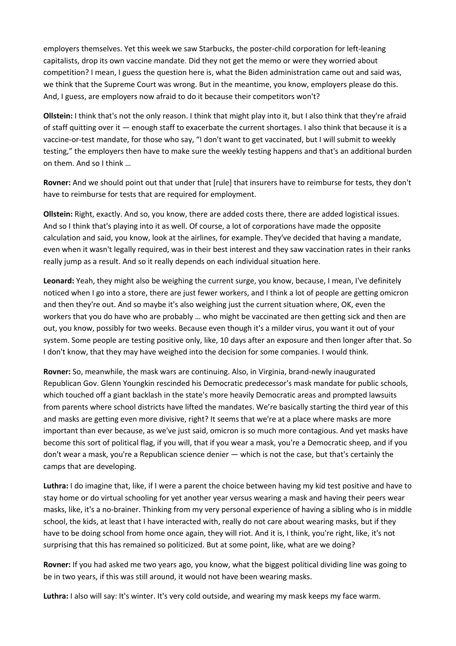employers themselves. Yet this week we saw Starbucks, the poster-child corporation for left-leaning capitalists, drop its own vaccine mandate. Did they not get the memo or were they worried about competition? I mean, I guess the question here is, what the Biden administration came out and said was, we think that the Supreme Court was wrong. But in the meantime, you know, employers please do this. And, I guess, are employers now afraid to do it because their competitors won't?

**Ollstein:** I think that's not the only reason. I think that might play into it, but I also think that they're afraid of staff quitting over it — enough staff to exacerbate the current shortages. I also think that because it is a vaccine-or-test mandate, for those who say, "I don't want to get vaccinated, but I will submit to weekly testing," the employers then have to make sure the weekly testing happens and that's an additional burden on them. And so I think …

**Rovner:** And we should point out that under that [rule] that insurers have to reimburse for tests, they don't have to reimburse for tests that are required for employment.

**Ollstein:** Right, exactly. And so, you know, there are added costs there, there are added logistical issues. And so I think that's playing into it as well. Of course, a lot of corporations have made the opposite calculation and said, you know, look at the airlines, for example. They've decided that having a mandate, even when it wasn't legally required, was in their best interest and they saw vaccination rates in their ranks really jump as a result. And so it really depends on each individual situation here.

**Leonard:** Yeah, they might also be weighing the current surge, you know, because, I mean, I've definitely noticed when I go into a store, there are just fewer workers, and I think a lot of people are getting omicron and then they're out. And so maybe it's also weighing just the current situation where, OK, even the workers that you do have who are probably … who might be vaccinated are then getting sick and then are out, you know, possibly for two weeks. Because even though it's a milder virus, you want it out of your system. Some people are testing positive only, like, 10 days after an exposure and then longer after that. So I don't know, that they may have weighed into the decision for some companies. I would think.

**Rovner:** So, meanwhile, the mask wars are continuing. Also, in Virginia, brand-newly inaugurated Republican Gov. Glenn Youngkin rescinded his Democratic predecessor's mask mandate for public schools, which touched off a giant backlash in the state's more heavily Democratic areas and prompted lawsuits from parents where school districts have lifted the mandates. We're basically starting the third year of this and masks are getting even more divisive, right? It seems that we're at a place where masks are more important than ever because, as we've just said, omicron is so much more contagious. And yet masks have become this sort of political flag, if you will, that if you wear a mask, you're a Democratic sheep, and if you don't wear a mask, you're a Republican science denier — which is not the case, but that's certainly the camps that are developing.

**Luthra:** I do imagine that, like, if I were a parent the choice between having my kid test positive and have to stay home or do virtual schooling for yet another year versus wearing a mask and having their peers wear masks, like, it's a no-brainer. Thinking from my very personal experience of having a sibling who is in middle school, the kids, at least that I have interacted with, really do not care about wearing masks, but if they have to be doing school from home once again, they will riot. And it is, I think, you're right, like, it's not surprising that this has remained so politicized. But at some point, like, what are we doing?

**Rovner:** If you had asked me two years ago, you know, what the biggest political dividing line was going to be in two years, if this was still around, it would not have been wearing masks.

**Luthra:** I also will say: It's winter. It's very cold outside, and wearing my mask keeps my face warm.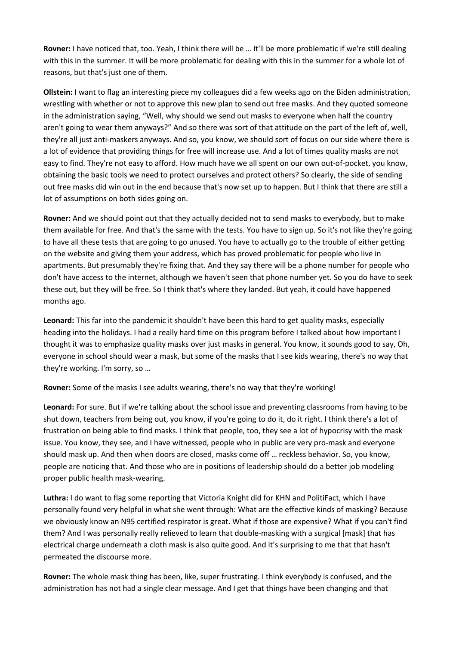**Rovner:** I have noticed that, too. Yeah, I think there will be … It'll be more problematic if we're still dealing with this in the summer. It will be more problematic for dealing with this in the summer for a whole lot of reasons, but that's just one of them.

**Ollstein:** I want to flag an interesting piece my colleagues did a few weeks ago on the Biden administration, wrestling with whether or not to approve this new plan to send out free masks. And they quoted someone in the administration saying, "Well, why should we send out masks to everyone when half the country aren't going to wear them anyways?" And so there was sort of that attitude on the part of the left of, well, they're all just anti-maskers anyways. And so, you know, we should sort of focus on our side where there is a lot of evidence that providing things for free will increase use. And a lot of times quality masks are not easy to find. They're not easy to afford. How much have we all spent on our own out-of-pocket, you know, obtaining the basic tools we need to protect ourselves and protect others? So clearly, the side of sending out free masks did win out in the end because that's now set up to happen. But I think that there are still a lot of assumptions on both sides going on.

**Rovner:** And we should point out that they actually decided not to send masks to everybody, but to make them available for free. And that's the same with the tests. You have to sign up. So it's not like they're going to have all these tests that are going to go unused. You have to actually go to the trouble of either getting on the website and giving them your address, which has proved problematic for people who live in apartments. But presumably they're fixing that. And they say there will be a phone number for people who don't have access to the internet, although we haven't seen that phone number yet. So you do have to seek these out, but they will be free. So I think that's where they landed. But yeah, it could have happened months ago.

**Leonard:** This far into the pandemic it shouldn't have been this hard to get quality masks, especially heading into the holidays. I had a really hard time on this program before I talked about how important I thought it was to emphasize quality masks over just masks in general. You know, it sounds good to say, Oh, everyone in school should wear a mask, but some of the masks that I see kids wearing, there's no way that they're working. I'm sorry, so …

**Rovner:** Some of the masks I see adults wearing, there's no way that they're working!

**Leonard:** For sure. But if we're talking about the school issue and preventing classrooms from having to be shut down, teachers from being out, you know, if you're going to do it, do it right. I think there's a lot of frustration on being able to find masks. I think that people, too, they see a lot of hypocrisy with the mask issue. You know, they see, and I have witnessed, people who in public are very pro-mask and everyone should mask up. And then when doors are closed, masks come off … reckless behavior. So, you know, people are noticing that. And those who are in positions of leadership should do a better job modeling proper public health mask-wearing.

**Luthra:** I do want to flag some reporting that Victoria Knight did for KHN and PolitiFact, which I have personally found very helpful in what she went through: What are the effective kinds of masking? Because we obviously know an N95 certified respirator is great. What if those are expensive? What if you can't find them? And I was personally really relieved to learn that double-masking with a surgical [mask] that has electrical charge underneath a cloth mask is also quite good. And it's surprising to me that that hasn't permeated the discourse more.

**Rovner:** The whole mask thing has been, like, super frustrating. I think everybody is confused, and the administration has not had a single clear message. And I get that things have been changing and that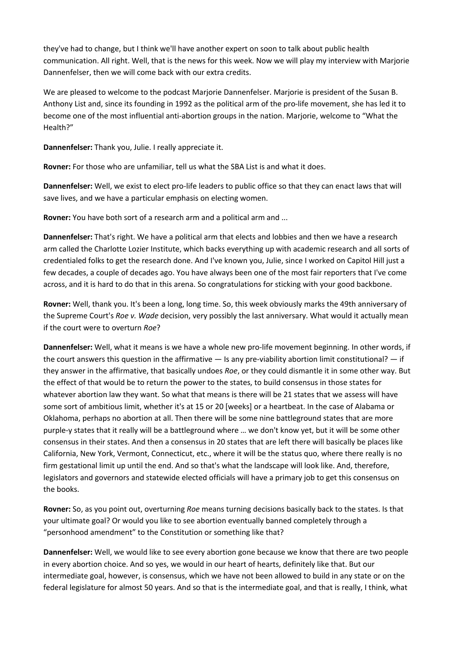they've had to change, but I think we'll have another expert on soon to talk about public health communication. All right. Well, that is the news for this week. Now we will play my interview with Marjorie Dannenfelser, then we will come back with our extra credits.

We are pleased to welcome to the podcast Marjorie Dannenfelser. Marjorie is president of the Susan B. Anthony List and, since its founding in 1992 as the political arm of the pro-life movement, she has led it to become one of the most influential anti-abortion groups in the nation. Marjorie, welcome to "What the Health?"

**Dannenfelser:** Thank you, Julie. I really appreciate it.

**Rovner:** For those who are unfamiliar, tell us what the SBA List is and what it does.

**Dannenfelser:** Well, we exist to elect pro-life leaders to public office so that they can enact laws that will save lives, and we have a particular emphasis on electing women.

**Rovner:** You have both sort of a research arm and a political arm and ...

**Dannenfelser:** That's right. We have a political arm that elects and lobbies and then we have a research arm called the Charlotte Lozier Institute, which backs everything up with academic research and all sorts of credentialed folks to get the research done. And I've known you, Julie, since I worked on Capitol Hill just a few decades, a couple of decades ago. You have always been one of the most fair reporters that I've come across, and it is hard to do that in this arena. So congratulations for sticking with your good backbone.

**Rovner:** Well, thank you. It's been a long, long time. So, this week obviously marks the 49th anniversary of the Supreme Court's *Roe v. Wade* decision, very possibly the last anniversary. What would it actually mean if the court were to overturn *Roe*?

**Dannenfelser:** Well, what it means is we have a whole new pro-life movement beginning. In other words, if the court answers this question in the affirmative — Is any pre-viability abortion limit constitutional? — if they answer in the affirmative, that basically undoes *Roe*, or they could dismantle it in some other way. But the effect of that would be to return the power to the states, to build consensus in those states for whatever abortion law they want. So what that means is there will be 21 states that we assess will have some sort of ambitious limit, whether it's at 15 or 20 [weeks] or a heartbeat. In the case of Alabama or Oklahoma, perhaps no abortion at all. Then there will be some nine battleground states that are more purple-y states that it really will be a battleground where … we don't know yet, but it will be some other consensus in their states. And then a consensus in 20 states that are left there will basically be places like California, New York, Vermont, Connecticut, etc., where it will be the status quo, where there really is no firm gestational limit up until the end. And so that's what the landscape will look like. And, therefore, legislators and governors and statewide elected officials will have a primary job to get this consensus on the books.

**Rovner:** So, as you point out, overturning *Roe* means turning decisions basically back to the states. Is that your ultimate goal? Or would you like to see abortion eventually banned completely through a "personhood amendment" to the Constitution or something like that?

**Dannenfelser:** Well, we would like to see every abortion gone because we know that there are two people in every abortion choice. And so yes, we would in our heart of hearts, definitely like that. But our intermediate goal, however, is consensus, which we have not been allowed to build in any state or on the federal legislature for almost 50 years. And so that is the intermediate goal, and that is really, I think, what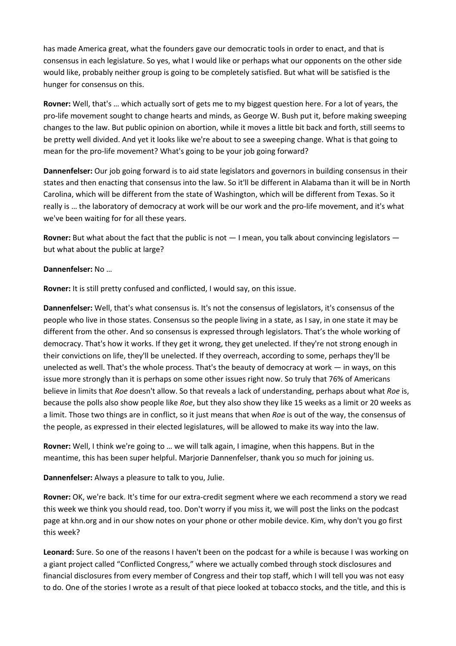has made America great, what the founders gave our democratic tools in order to enact, and that is consensus in each legislature. So yes, what I would like or perhaps what our opponents on the other side would like, probably neither group is going to be completely satisfied. But what will be satisfied is the hunger for consensus on this.

**Rovner:** Well, that's … which actually sort of gets me to my biggest question here. For a lot of years, the pro-life movement sought to change hearts and minds, as George W. Bush put it, before making sweeping changes to the law. But public opinion on abortion, while it moves a little bit back and forth, still seems to be pretty well divided. And yet it looks like we're about to see a sweeping change. What is that going to mean for the pro-life movement? What's going to be your job going forward?

**Dannenfelser:** Our job going forward is to aid state legislators and governors in building consensus in their states and then enacting that consensus into the law. So it'll be different in Alabama than it will be in North Carolina, which will be different from the state of Washington, which will be different from Texas. So it really is … the laboratory of democracy at work will be our work and the pro-life movement, and it's what we've been waiting for for all these years.

**Rovner:** But what about the fact that the public is not — I mean, you talk about convincing legislators but what about the public at large?

# **Dannenfelser:** No …

**Rovner:** It is still pretty confused and conflicted, I would say, on this issue.

**Dannenfelser:** Well, that's what consensus is. It's not the consensus of legislators, it's consensus of the people who live in those states. Consensus so the people living in a state, as I say, in one state it may be different from the other. And so consensus is expressed through legislators. That's the whole working of democracy. That's how it works. If they get it wrong, they get unelected. If they're not strong enough in their convictions on life, they'll be unelected. If they overreach, according to some, perhaps they'll be unelected as well. That's the whole process. That's the beauty of democracy at work — in ways, on this issue more strongly than it is perhaps on some other issues right now. So truly that 76% of Americans believe in limits that *Roe* doesn't allow. So that reveals a lack of understanding, perhaps about what *Roe* is, because the polls also show people like *Roe*, but they also show they like 15 weeks as a limit or 20 weeks as a limit. Those two things are in conflict, so it just means that when *Roe* is out of the way, the consensus of the people, as expressed in their elected legislatures, will be allowed to make its way into the law.

**Rovner:** Well, I think we're going to … we will talk again, I imagine, when this happens. But in the meantime, this has been super helpful. Marjorie Dannenfelser, thank you so much for joining us.

**Dannenfelser:** Always a pleasure to talk to you, Julie.

**Rovner:** OK, we're back. It's time for our extra-credit segment where we each recommend a story we read this week we think you should read, too. Don't worry if you miss it, we will post the links on the podcast page at khn.org and in our show notes on your phone or other mobile device. Kim, why don't you go first this week?

**Leonard:** Sure. So one of the reasons I haven't been on the podcast for a while is because I was working on a giant project called "Conflicted Congress," where we actually combed through stock disclosures and financial disclosures from every member of Congress and their top staff, which I will tell you was not easy to do. One of the stories I wrote as a result of that piece looked at tobacco stocks, and the title, and this is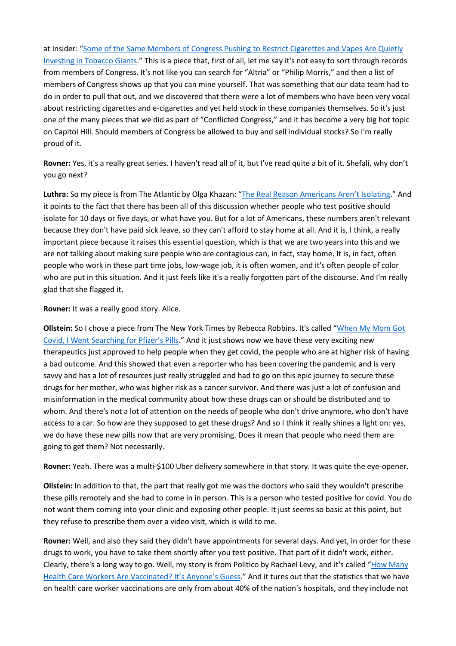at Insider: "Some of the Same Members of Congress Pushing to Restrict Cigarettes and Vapes Are Quietly Investing in Tobacco Giants." This is a piece that, first of all, let me say it's not easy to sort through records from members of Congress. It's not like you can search for "Altria" or "Philip Morris," and then a list of members of Congress shows up that you can mine yourself. That was something that our data team had to do in order to pull that out, and we discovered that there were a lot of members who have been very vocal about restricting cigarettes and e-cigarettes and yet held stock in these companies themselves. So it's just one of the many pieces that we did as part of "Conflicted Congress," and it has become a very big hot topic on Capitol Hill. Should members of Congress be allowed to buy and sell individual stocks? So I'm really proud of it.

**Rovner:** Yes, it's a really great series. I haven't read all of it, but I've read quite a bit of it. Shefali, why don't you go next?

**Luthra:** So my piece is from The Atlantic by Olga Khazan: "The Real Reason Americans Aren't Isolating." And it points to the fact that there has been all of this discussion whether people who test positive should isolate for 10 days or five days, or what have you. But for a lot of Americans, these numbers aren't relevant because they don't have paid sick leave, so they can't afford to stay home at all. And it is, I think, a really important piece because it raises this essential question, which is that we are two years into this and we are not talking about making sure people who are contagious can, in fact, stay home. It is, in fact, often people who work in these part time jobs, low-wage job, it is often women, and it's often people of color who are put in this situation. And it just feels like it's a really forgotten part of the discourse. And I'm really glad that she flagged it.

**Rovner:** It was a really good story. Alice.

**Ollstein:** So I chose a piece from The New York Times by Rebecca Robbins. It's called "When My Mom Got Covid, I Went Searching for Pfizer's Pills." And it just shows now we have these very exciting new therapeutics just approved to help people when they get covid, the people who are at higher risk of having a bad outcome. And this showed that even a reporter who has been covering the pandemic and is very savvy and has a lot of resources just really struggled and had to go on this epic journey to secure these drugs for her mother, who was higher risk as a cancer survivor. And there was just a lot of confusion and misinformation in the medical community about how these drugs can or should be distributed and to whom. And there's not a lot of attention on the needs of people who don't drive anymore, who don't have access to a car. So how are they supposed to get these drugs? And so I think it really shines a light on: yes, we do have these new pills now that are very promising. Does it mean that people who need them are going to get them? Not necessarily.

**Rovner:** Yeah. There was a multi-\$100 Uber delivery somewhere in that story. It was quite the eye-opener.

**Ollstein:** In addition to that, the part that really got me was the doctors who said they wouldn't prescribe these pills remotely and she had to come in in person. This is a person who tested positive for covid. You do not want them coming into your clinic and exposing other people. It just seems so basic at this point, but they refuse to prescribe them over a video visit, which is wild to me.

**Rovner:** Well, and also they said they didn't have appointments for several days. And yet, in order for these drugs to work, you have to take them shortly after you test positive. That part of it didn't work, either. Clearly, there's a long way to go. Well, my story is from Politico by Rachael Levy, and it's called "How Many Health Care Workers Are Vaccinated? It's Anyone's Guess." And it turns out that the statistics that we have on health care worker vaccinations are only from about 40% of the nation's hospitals, and they include not